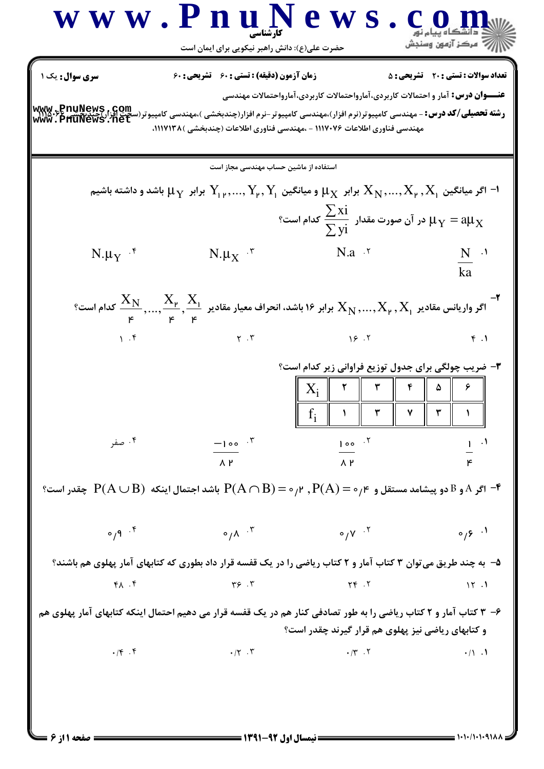$\overline{\phantom{a}}$ 

 $= 1.1 - (1.1 - 9)$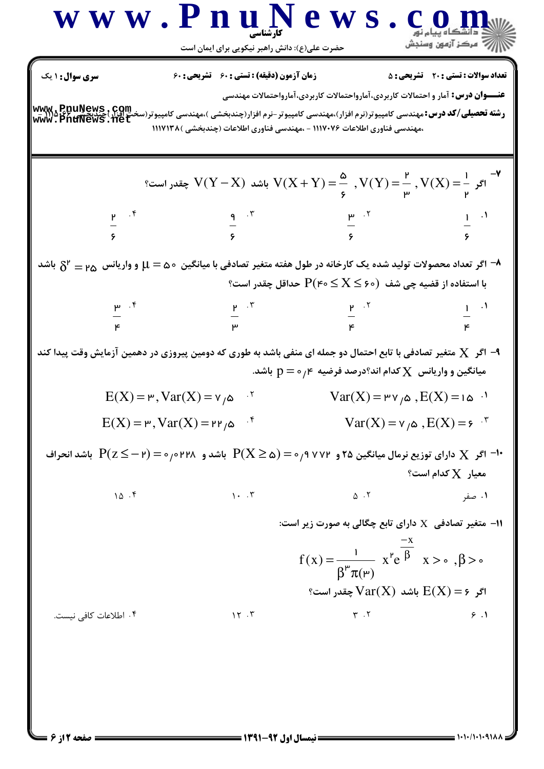## WWW.PnuNews.com ريسمبرس<br>السابقة - مركز آزمون وسنڊش حضرت علی(ع): دانش راهبر نیکویی برای ایمان است **سری سوال : ۱ یک زمان آزمون (دقیقه) : تستی : 60 تشریحی: 60 تعداد سوالات : تستي : 20 ٪ تشريحي : 5 عنـــوان درس:** آمار و احتمالات کاربردی،آمارواحتمالات کاربردی،آمارواحتمالات مهندسی www.appuNews.com **رشته تحصیلی/کد درس:**مهندسی کامپیوتر(نرم افزار)،مهندسی کامپیوتر-نرم افزار(چندبخشی )،مهندسی کامپیوتر(سخ ،مهندسی فناوری اطلاعات ۱۱۱۷۰۷۶ - ،مهندسی فناوری اطلاعات (چندبخشی )۱۱۱۷۱۳۸  $V(Y-X)$  باشد  $V(Y-X)$  چقدر است؟  $V(X) = \frac{a}{n}$  ,  $V(Y) = \frac{P}{n}$  ,  $V(X) = \frac{1}{n}$  ,  $V(X) = \frac{1}{n}$  $\frac{1}{\sqrt{2}}$ .  $\frac{9}{1}$  .  $\frac{8}{1}$  $\delta^\mathsf{r} = \mathsf{p}_\mathsf{\Delta}$ ا و واریانس  $\mathsf{p}_\mathsf{a}$  می که از عاده در طول هفته متغیر تصادفی با میانگین  $\mathsf{a} \circ \mathsf{p} = \mathsf{p}_\mathsf{a}$  و اریانس  $\mathsf{p}_\mathsf{a}$  باشد با استفاده از قضیه چی شف  $\mathsf{P}(\mathsf{F} \circ \leq \mathrm{X} \leq \mathsf{P})$  حداقل چقدر است؟  $\frac{p}{q}$ .  $\frac{r}{q}$  $\frac{P}{T}$  .  $\frac{1}{T}$ اگر  $\,\mathbf X\,$  متغیر تصادفی با تابع احتمال دو جمله ای منفی باشد به طوری که دومین پیروزی در دهمین آزمایش وقت پیدا کند  $\,\mathbf X\,$ میانگین و واریانس  $\,\mathbf{X}\,$ کدام اند؟درصد فرضیه  $\,$ ر $\,=\,p=0\,$  باشد.  $Var(X) = \text{PV}_{\alpha}$ ,  $E(X) = 10^{-1}$  $E(X) = r \cdot Var(X) = v \cdot \omega$ <sup>5</sup>  $E(X) = r$ ,  $Var(X) = r r \omega$  f  $Var(X) = v_{\alpha}$ ,  $E(X) = e^{-x}$ اس X دارای توزیع نرمال میانگین ۲۵ و ۷۷۲ ۰/۹ ( $(X\geq\alpha)=P(X\geq\alpha)=P(X\leq\gamma)$  باشد انحراف  $Y$  $\,$ معیار  $\,$   $\rm X$  کدام است  $10.5$  $\Delta$ .  $1 - 5$ ۰۱ صفر ا - متغیر تصادفی  $\rm X$  دارای تابع چگالی به صورت زیر است: $\rm X$  $f(x) = \frac{1}{\beta^{\mu} \pi(\mu)} x^{\mu} e^{\frac{-x}{\beta}} x > \delta, \beta > \delta$ اگر  $\text{Var}(\text{X})$  باشد  $\text{Var}(\text{X})$  چقدر است؟  $15.7$  $\mathbf{r}$ .  $\mathbf{r}$ ۴. اطلاعات كافي نيست.  $9.1$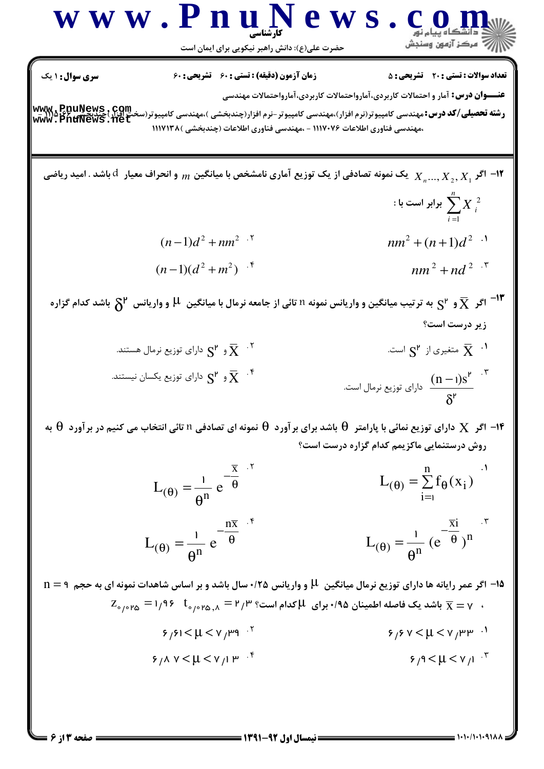$L_{(\theta)} = \frac{1}{\theta^n} (e^{-\frac{\overline{x}i}{\theta}})^n$  $L_{(\theta)} = \frac{1}{\theta^n} e^{-\frac{n\overline{x}}{\theta}}$ 

۰۱۵ اگر عمر رایانه ها دارای توزیع نرمال میانگین H و واریانس ۱۲۵/۰سال باشد و بر اساس شاهدات نمونه ای به حجم n = ۹  $z_{\circ/\circ}$ ۳۵ باشد یک فاصله اطمینان ۱٬۹۵ $\mu$  برای  $\mu$ کدام است؟ ۳/۳  $\tau_{\circ/\circ}$  بر $\overline{x} = y$  باشد یک فاصله اطمینان ۱٬۹۵ $\overline{x} = y$  $9/91 < \mu < v /$   $\mu$ 9<sup>.1</sup>  $9/9$  V  $< \mu < v /$   $\mu$   $\mu$   $\mu$ .  $5/4$  V  $< \mu < v / 1$   $\mu$ <sup>-f</sup>  $5/9 < \mu < v /1$ .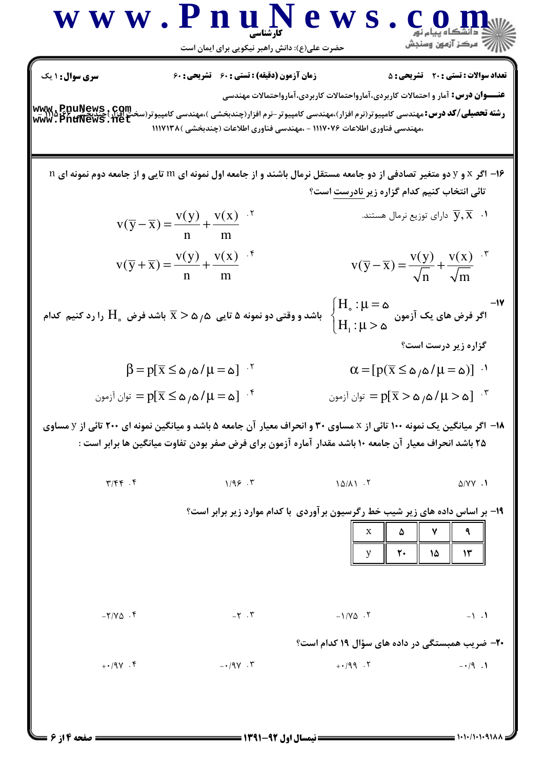| W W W                                                                                                                                                                                                                                                                                                                                                                                                                                                                                                                                                                                                                                                                                                                                                                                                                                                                                                                                                                                                                                                                                         | P W | P W | P W | P W | P W |
|-----------------------------------------------------------------------------------------------------------------------------------------------------------------------------------------------------------------------------------------------------------------------------------------------------------------------------------------------------------------------------------------------------------------------------------------------------------------------------------------------------------------------------------------------------------------------------------------------------------------------------------------------------------------------------------------------------------------------------------------------------------------------------------------------------------------------------------------------------------------------------------------------------------------------------------------------------------------------------------------------------------------------------------------------------------------------------------------------|-----|-----|-----|-----|-----|
| \n $\sum_{i=1}^{n} \sum_{j=1}^{n} \sum_{j=1}^{n} \sum_{j=1}^{n} \sum_{j=1}^{n} \sum_{j=1}^{n} \sum_{j=1}^{n} \sum_{j=1}^{n} \sum_{j=1}^{n} \sum_{j=1}^{n} \sum_{j=1}^{n} \sum_{j=1}^{n} \sum_{j=1}^{n} \sum_{j=1}^{n} \sum_{j=1}^{n} \sum_{j=1}^{n} \sum_{j=1}^{n} \sum_{j=1}^{n} \sum_{j=1}^{n} \sum_{j=1}^{n} \sum_{j=1}^{n} \sum_{j=1}^{n} \sum_{j=1}^{n} \sum_{j=1}^{n} \sum_{j=1}^{n} \sum_{j=1}^{n} \sum_{j=1}^{n} \sum_{j=1}^{n} \sum_{j=1}^{n} \sum_{j=1}^{n} \sum_{j=1}^{n} \sum_{j=1}^{n} \sum_{j=1}^{n} \sum_{j=1}^{n} \sum_{j=1}^{n} \sum_{j=1}^{n} \sum_{j=1}^{n} \sum_{j=1}^{n} \sum_{j=1}^{n} \sum_{j=1}^{n} \sum_{j=1}^{n} \sum_{j=1}^{n} \sum_{j=1}^{n} \sum_{j=1}^{n} \sum_{j=1}^{n} \sum_{j=1}^{n} \sum_{j=1}^{n} \sum_{j=1}^{n} \sum_{j=1}^{n} \sum_{j=1}^{n} \sum_{j=1}^{n} \sum_{j=1}^{n} \sum_{j=1}^{n} \sum_{j=1}^{n} \sum_{j=1}^{n} \sum_{j=1}^{n} \sum_{j=1}^{n} \sum_{j=1}^{n} \sum_{j=1}^{n} \sum_{j=1}^{n} \sum_{j=1}^{n} \sum_{j=1}^{n} \sum_{j=1}^{n} \sum_{j=1}^{n} \sum_{j=1}^{n} \sum_{j=1}^{n} \sum_{j=1}^{n} \sum_{j=1}^{n} \sum_{j=1}^{n} \sum_{j=1}^{n$ |     |     |     |     |     |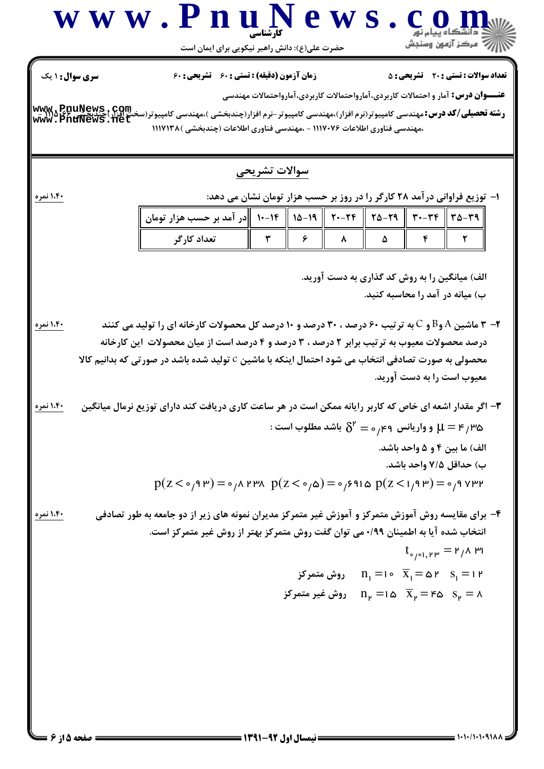## محصولی به صورت تصادفی انتخاب می شود احتمال اینکه با ماشین C تولید شده باشد در صورتی که بدانیم کالا معيوب است را به دست آوريد. : هنار بالس وواریانس و $\delta^\mathsf{r}=\delta_\mathsf{r}$  باشد مطلوب است  $\mu=\mathsf{F}_\mathsf{r}$ الف) ما بين ۴ و ۵ واحد باشد. ب) حداقل ۷/۵ واحد باشد.  $p(Z \leq 0.9 \text{ P}) = 0.01 \text{ P} \text{ P}$   $p(Z \leq 0.00) = 0.911 \text{ Q}$   $p(Z \leq 1.9 \text{ P}) = 0.91 \text{ P} \text{ P}$ ۴- برای مقایسه روش آموزش متمرکز و آموزش غیر متمرکز مدیران نمونه های زیر از دو جامعه به طور تصادفی

انتخاب شده آیا به اطمینان ۰/۹۹می توان گفت روش متمرکز بهتر از روش غیر متمرکز است.

۱،۴۰ نمره ۳- اگر مقدار اشعه ای خاص که کاربر رایانه ممکن است در هر ساعت کاری دریافت کند دارای توزیع نرمال میانگین

الف) میانگین را به روش کد گذاری به دست آورید. ب) میانه در آمد را محاسبه کنید. ۱،۴۰ نم<mark>ره</mark> **۲- ۳** ماشین A وB و C به ترتیب ۶۰ درصد ، ۳۰ درصد و ۱۰ درصد کل محصولات کارخانه ای را تولید می کنند درصد محصولات معیوب به ترتیب برابر ۲ درصد ، ۳ درصد و ۴ درصد است از میان محصولات |ین کارخانه

- www.aPpuNews.com<br>www.PnuNews.net **رشته تحصیلی/کد درس:**مهندسی کامپیوتر(نرم افزار)،مهندسی کامپیوتر-نرم افزار(چندبخشی )،مهندسی کامپیوتر(سخ ،مهندسه فناوري اطلاعات ١١١٧٠٧۶ - ،مهندسه فناوري اطلاعات (حندبخشه ) ١١١٧١٣٨
	- ا- توزیع فراوانی درآمد ۲۸ کارگر را در روز بر حسب هزار تومان نشان می دهد:

**عنـــوان درس:** آمار و احتمالات کاربردی،آمارواحتمالات کاربردی،آمارواحتمالات مهندسی

| ، مهتندسی تناوری اصلاحات ۱۱۱۲۰۲۰ – ،مهتندسی تناوری اصلاحات البستانی ۱۱۱۲۱۱۱۱۰۰۰۰۰۰۰۰۰۰۰۰۰۰۰۰۰۰۰۰۰۰۰۰ |
|------------------------------------------------------------------------------------------------------|
| سوالات تشريحى                                                                                        |

| ۳۹−۳۹    ۳۹−۳۳    ۲۹−۲۴    ۲۹−۱۴    ۱۹−۱۴   در آمد بر حسب هزار تومان |  |  |  |  |
|----------------------------------------------------------------------|--|--|--|--|
| تعداد کا گ                                                           |  |  |  |  |

: نیمسال اول 92-1391 =

 $t_{\text{e/e1,PP}} = r_{1}A_{1}P_{1}$ 

 $n_1 = 0$ ا =  $S_1 = 0$  ×  $\overline{X}_1 = 0$  ×  $S_1 = 0$  ×  $S_1 = 0$ 

د =  $n_{\nu} = 1$ ه = ۱۵  $\overline{X}_{\nu} = 1$ وش غیر متمرکز = ۸



**تعداد سوالات : تستي : 20 ٪ تشريحي : 5** 

**زمان آزمون (دقیقه) : تستی : 60 تشریحی: 60** 

حضرت علی(ع): دانش راهبر نیکویی برای ایمان است

www.Pnug

**سری سوال : ۱ یک** 

۱،۴۰ نمر

۱،۴۰ نمره